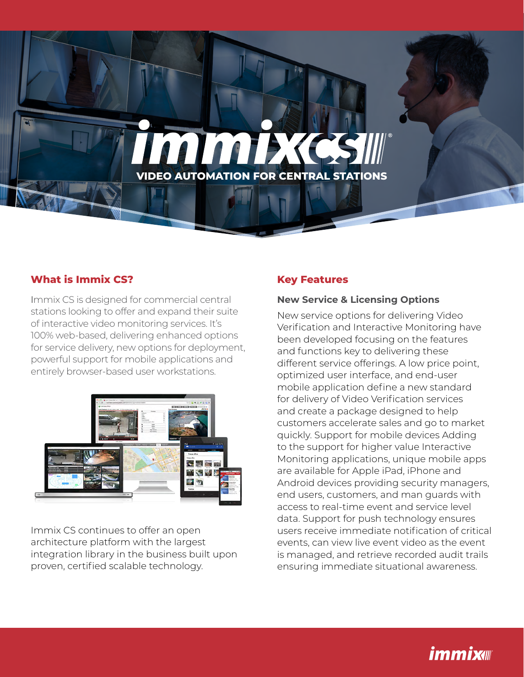# **IMMEXC VIDEO AUTOMATION FOR CENTRAL STATIONS**

#### **What is Immix CS?**

Immix CS is designed for commercial central stations looking to offer and expand their suite of interactive video monitoring services. It's 100% web-based, delivering enhanced options for service delivery, new options for deployment, powerful support for mobile applications and entirely browser-based user workstations.



Immix CS continues to offer an open architecture platform with the largest integration library in the business built upon proven, certified scalable technology.

#### **Key Features**

#### **New Service & Licensing Options**

New service options for delivering Video Verification and Interactive Monitoring have been developed focusing on the features and functions key to delivering these different service offerings. A low price point, optimized user interface, and end-user mobile application define a new standard for delivery of Video Verification services and create a package designed to help customers accelerate sales and go to market quickly. Support for mobile devices Adding to the support for higher value Interactive Monitoring applications, unique mobile apps are available for Apple iPad, iPhone and Android devices providing security managers, end users, customers, and man guards with access to real-time event and service level data. Support for push technology ensures users receive immediate notification of critical events, can view live event video as the event is managed, and retrieve recorded audit trails ensuring immediate situational awareness.

# **immix**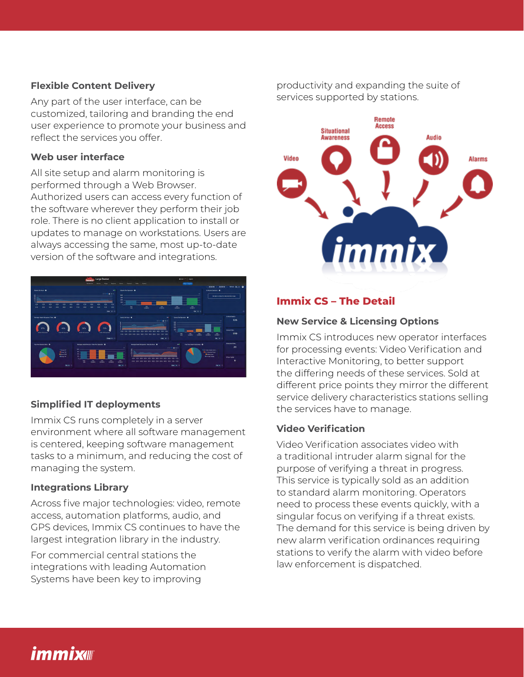#### **Flexible Content Delivery**

Any part of the user interface, can be customized, tailoring and branding the end user experience to promote your business and reflect the services you offer.

#### **Web user interface**

All site setup and alarm monitoring is **CENTRAL STATIONS** performed through a Web Browser. Authorized users can access every function of the software wherever they perform their job role. There is no client application to install or updates to manage on workstations. Users are always accessing the same, most up-to-date version of the software and integrations.



#### **Simplified IT deployments**

Immix CS runs completely in a server environment where all software management is centered, keeping software management tasks to a minimum, and reducing the cost of managing the system.

#### **Integrations Library**

Across five major technologies: video, remote access, automation platforms, audio, and GPS devices, Immix CS continues to have the largest integration library in the industry.

For commercial central stations the integrations with leading Automation Systems have been key to improving

productivity and expanding the suite of services supported by stations.



#### **Immix CS – The Detail**

#### **New Service & Licensing Options**

Immix CS introduces new operator interfaces for processing events: Video Verification and Interactive Monitoring, to better support the differing needs of these services. Sold at different price points they mirror the different service delivery characteristics stations selling the services have to manage.

#### **Video Verification**

Video Verification associates video with a traditional intruder alarm signal for the purpose of verifying a threat in progress. This service is typically sold as an addition to standard alarm monitoring. Operators need to process these events quickly, with a singular focus on verifying if a threat exists. The demand for this service is being driven by new alarm verification ordinances requiring stations to verify the alarm with video before law enforcement is dispatched.

## *immix*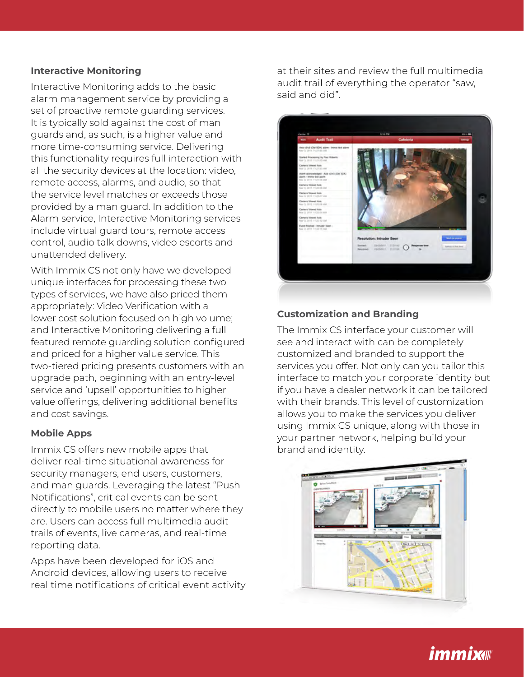#### **Interactive Monitoring**

this functionality requires full interaction with all the security devices at the location: video, Interactive Monitoring adds to the basic alarm management service by providing a set of proactive remote guarding services. It is typically sold against the cost of man guards and, as such, is a higher value and more time-consuming service. Delivering remote access, alarms, and audio, so that the service level matches or exceeds those provided by a man guard. In addition to the Alarm service, Interactive Monitoring services include virtual guard tours, remote access control, audio talk downs, video escorts and unattended delivery.

With Immix CS not only have we developed unique interfaces for processing these two types of services, we have also priced them appropriately: Video Verification with a lower cost solution focused on high volume; and Interactive Monitoring delivering a full featured remote guarding solution configured and priced for a higher value service. This two-tiered pricing presents customers with an upgrade path, beginning with an entry-level service and 'upsell' opportunities to higher value offerings, delivering additional benefits and cost savings.

#### **Mobile Apps**

Immix CS offers new mobile apps that deliver real-time situational awareness for security managers, end users, customers, and man guards. Leveraging the latest "Push Notifications", critical events can be sent directly to mobile users no matter where they are. Users can access full multimedia audit trails of events, live cameras, and real-time reporting data.

Apps have been developed for iOS and Android devices, allowing users to receive real time notifications of critical event activity at their sites and review the full multimedia audit trail of everything the operator "saw, said and did".



#### **Customization and Branding**

The Immix CS interface your customer will see and interact with can be completely customized and branded to support the services you offer. Not only can you tailor this interface to match your corporate identity but if you have a dealer network it can be tailored with their brands. This level of customization allows you to make the services you deliver using Immix CS unique, along with those in your partner network, helping build your brand and identity.



### *immix*